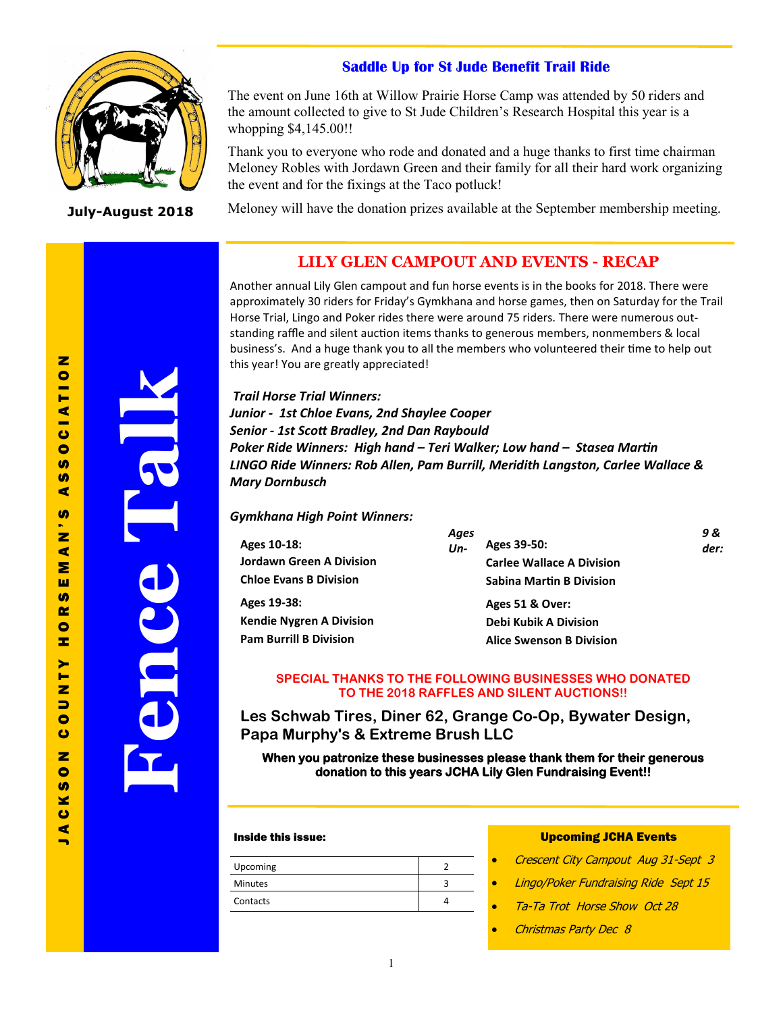# **Saddle Up for St Jude Benefit Trail Ride**



**July-August 2018**

The event on June 16th at Willow Prairie Horse Camp was attended by 50 riders and the amount collected to give to St Jude Children's Research Hospital this year is a whopping \$4,145.00!!

Thank you to everyone who rode and donated and a huge thanks to first time chairman Meloney Robles with Jordawn Green and their family for all their hard work organizing the event and for the fixings at the Taco potluck!

Meloney will have the donation prizes available at the September membership meeting.

# **LILY GLEN CAMPOUT AND EVENTS - RECAP**

Another annual Lily Glen campout and fun horse events is in the books for 2018. There were approximately 30 riders for Friday's Gymkhana and horse games, then on Saturday for the Trail Horse Trial, Lingo and Poker rides there were around 75 riders. There were numerous outstanding raffle and silent auction items thanks to generous members, nonmembers & local business's. And a huge thank you to all the members who volunteered their time to help out this year! You are greatly appreciated!

*Trail Horse Trial Winners: Junior - 1st Chloe Evans, 2nd Shaylee Cooper Senior - 1st Scott Bradley, 2nd Dan Raybould Poker Ride Winners: High hand – Teri Walker; Low hand – Stasea Martin LINGO Ride Winners: Rob Allen, Pam Burrill, Meridith Langston, Carlee Wallace & Mary Dornbusch*

### *Gymkhana High Point Winners:*

| Ages 10-18:<br><b>Jordawn Green A Division</b><br><b>Chloe Evans B Division</b> | Ages<br>$Un-$ | Ages 39-50:<br><b>Carlee Wallace A Division</b><br><b>Sabina Martin B Division</b> | 9 &<br>der: |
|---------------------------------------------------------------------------------|---------------|------------------------------------------------------------------------------------|-------------|
| Ages 19-38:                                                                     |               | Ages 51 & Over:                                                                    |             |
| <b>Kendie Nygren A Division</b>                                                 |               | Debi Kubik A Division                                                              |             |
| <b>Pam Burrill B Division</b>                                                   |               | <b>Alice Swenson B Division</b>                                                    |             |

### **SPECIAL THANKS TO THE FOLLOWING BUSINESSES WHO DONATED TO THE 2018 RAFFLES AND SILENT AUCTIONS!!**

**Les Schwab Tires, Diner 62, Grange Co-Op, Bywater Design, Papa Murphy's & Extreme Brush LLC**

**When you patronize these businesses please thank them for their generous donation to this years JCHA Lily Glen Fundraising Event!!** 

### Inside this issue:

| Upcoming       |  |
|----------------|--|
| <b>Minutes</b> |  |
| Contacts       |  |

### Upcoming JCHA Events

- Crescent City Campout Aug 31-Sept 3
- Lingo/Poker Fundraising Ride Sept 15
- Ta-Ta Trot Horse Show Oct 28
- Christmas Party Dec 8

 $\blacksquare$ 

**Fence Talk**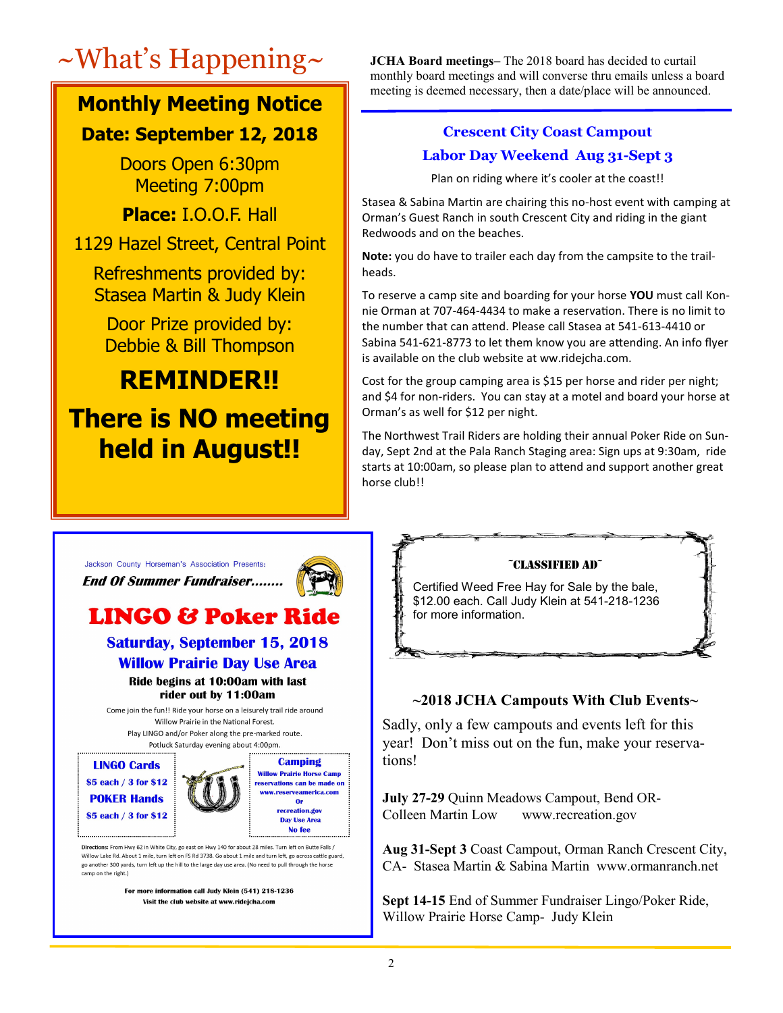# **Monthly Meeting Notice**

# **Date: September 12, 2018**

Doors Open 6:30pm Meeting 7:00pm

**Place:** I.O.O.F. Hall

1129 Hazel Street, Central Point

Refreshments provided by: Stasea Martin & Judy Klein

Door Prize provided by: Debbie & Bill Thompson

# **REMINDER!! There is NO meeting held in August!!**

~What's Happening~ **JCHA Board meetings–** The 2018 board has decided to curtail monthly board meetings and will converse thru emails unless a board meeting is deemed necessary, then a date/place will be announced.

# **Crescent City Coast Campout Labor Day Weekend Aug 31-Sept 3**

Plan on riding where it's cooler at the coast!!

Stasea & Sabina Martin are chairing this no-host event with camping at Orman's Guest Ranch in south Crescent City and riding in the giant Redwoods and on the beaches.

**Note:** you do have to trailer each day from the campsite to the trailheads.

To reserve a camp site and boarding for your horse **YOU** must call Konnie Orman at 707-464-4434 to make a reservation. There is no limit to the number that can attend. Please call Stasea at 541-613-4410 or Sabina 541-621-8773 to let them know you are attending. An info flyer is available on the club website at ww.ridejcha.com.

Cost for the group camping area is \$15 per horse and rider per night; and \$4 for non-riders. You can stay at a motel and board your horse at Orman's as well for \$12 per night.

The Northwest Trail Riders are holding their annual Poker Ride on Sunday, Sept 2nd at the Pala Ranch Staging area: Sign ups at 9:30am, ride starts at 10:00am, so please plan to attend and support another great horse club!!

Jackson County Horseman's Association Presents: **End Of Summer Fundraiser........** 



# **LINGO & Poker Ride**

**Saturday, September 15, 2018 Willow Prairie Day Use Area** Ride begins at 10:00am with last rider out by 11:00am

Come join the fun!! Ride your horse on a leisurely trail ride around Willow Prairie in the National Forest. Play LINGO and/or Poker along the pre-marked route. Potluck Saturday evening about 4:00pm.





Directions: From Hwy 62 in White City, go east on Hwy 140 for about 28 miles. Turn left on Butte Falls / Willow Lake Rd. About 1 mile, turn left on FS Rd 3738, Go about 1 mile and turn left, go across cattle guard. go another 300 yards, turn left up the hill to the large day use area. (No need to pull through the horse camp on the right.)

> For more information call Judy Klein (541) 218-1236 Visit the club website at www.ridejcha.com



# **~2018 JCHA Campouts With Club Events~**

Sadly, only a few campouts and events left for this year! Don't miss out on the fun, make your reservations!

**July 27-29** Quinn Meadows Campout, Bend OR-Colleen Martin Low www.recreation.gov

**Aug 31-Sept 3** Coast Campout, Orman Ranch Crescent City, CA- Stasea Martin & Sabina Martin www.ormanranch.net

**Sept 14-15** End of Summer Fundraiser Lingo/Poker Ride, Willow Prairie Horse Camp- Judy Klein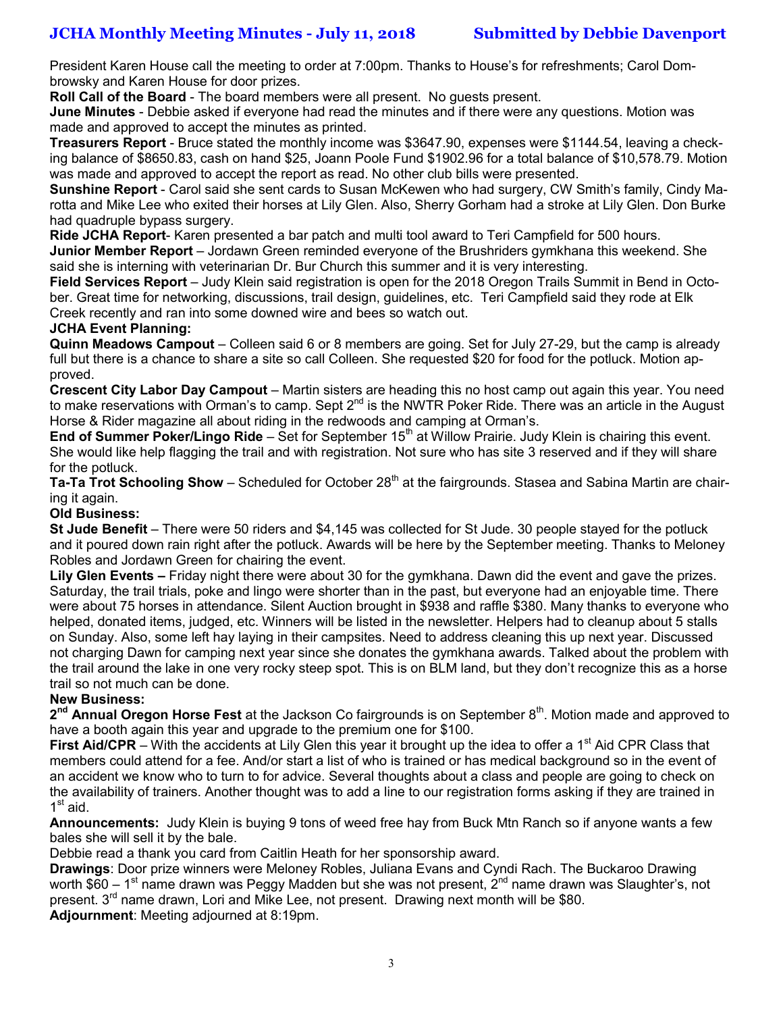President Karen House call the meeting to order at 7:00pm. Thanks to House's for refreshments; Carol Dombrowsky and Karen House for door prizes.

**Roll Call of the Board** - The board members were all present. No guests present.

**June Minutes** - Debbie asked if everyone had read the minutes and if there were any questions. Motion was made and approved to accept the minutes as printed.

**Treasurers Report** - Bruce stated the monthly income was \$3647.90, expenses were \$1144.54, leaving a checking balance of \$8650.83, cash on hand \$25, Joann Poole Fund \$1902.96 for a total balance of \$10,578.79. Motion was made and approved to accept the report as read. No other club bills were presented.

**Sunshine Report** - Carol said she sent cards to Susan McKewen who had surgery, CW Smith's family, Cindy Marotta and Mike Lee who exited their horses at Lily Glen. Also, Sherry Gorham had a stroke at Lily Glen. Don Burke had quadruple bypass surgery.

**Ride JCHA Report**- Karen presented a bar patch and multi tool award to Teri Campfield for 500 hours.

**Junior Member Report** – Jordawn Green reminded everyone of the Brushriders gymkhana this weekend. She said she is interning with veterinarian Dr. Bur Church this summer and it is very interesting.

**Field Services Report** – Judy Klein said registration is open for the 2018 Oregon Trails Summit in Bend in October. Great time for networking, discussions, trail design, guidelines, etc. Teri Campfield said they rode at Elk Creek recently and ran into some downed wire and bees so watch out.

### **JCHA Event Planning:**

**Quinn Meadows Campout** – Colleen said 6 or 8 members are going. Set for July 27-29, but the camp is already full but there is a chance to share a site so call Colleen. She requested \$20 for food for the potluck. Motion approved.

**Crescent City Labor Day Campout** – Martin sisters are heading this no host camp out again this year. You need to make reservations with Orman's to camp. Sept 2<sup>nd</sup> is the NWTR Poker Ride. There was an article in the August Horse & Rider magazine all about riding in the redwoods and camping at Orman's.

**End of Summer Poker/Lingo Ride** – Set for September 15<sup>th</sup> at Willow Prairie. Judy Klein is chairing this event. She would like help flagging the trail and with registration. Not sure who has site 3 reserved and if they will share for the potluck.

**Ta-Ta Trot Schooling Show** – Scheduled for October 28<sup>th</sup> at the fairgrounds. Stasea and Sabina Martin are chairing it again.

## **Old Business:**

**St Jude Benefit** – There were 50 riders and \$4,145 was collected for St Jude. 30 people stayed for the potluck and it poured down rain right after the potluck. Awards will be here by the September meeting. Thanks to Meloney Robles and Jordawn Green for chairing the event.

**Lily Glen Events –** Friday night there were about 30 for the gymkhana. Dawn did the event and gave the prizes. Saturday, the trail trials, poke and lingo were shorter than in the past, but everyone had an enjoyable time. There were about 75 horses in attendance. Silent Auction brought in \$938 and raffle \$380. Many thanks to everyone who helped, donated items, judged, etc. Winners will be listed in the newsletter. Helpers had to cleanup about 5 stalls on Sunday. Also, some left hay laying in their campsites. Need to address cleaning this up next year. Discussed not charging Dawn for camping next year since she donates the gymkhana awards. Talked about the problem with the trail around the lake in one very rocky steep spot. This is on BLM land, but they don't recognize this as a horse trail so not much can be done.

# **New Business:**

2<sup>nd</sup> Annual Oregon Horse Fest at the Jackson Co fairgrounds is on September 8<sup>th</sup>. Motion made and approved to have a booth again this year and upgrade to the premium one for \$100.

**First Aid/CPR** – With the accidents at Lily Glen this year it brought up the idea to offer a 1<sup>st</sup> Aid CPR Class that members could attend for a fee. And/or start a list of who is trained or has medical background so in the event of an accident we know who to turn to for advice. Several thoughts about a class and people are going to check on the availability of trainers. Another thought was to add a line to our registration forms asking if they are trained in 1<sup>st</sup> aid.

**Announcements:** Judy Klein is buying 9 tons of weed free hay from Buck Mtn Ranch so if anyone wants a few bales she will sell it by the bale.

Debbie read a thank you card from Caitlin Heath for her sponsorship award.

**Drawings**: Door prize winners were Meloney Robles, Juliana Evans and Cyndi Rach. The Buckaroo Drawing worth \$60 – 1<sup>st</sup> name drawn was Peggy Madden but she was not present, 2<sup>nd</sup> name drawn was Slaughter's, not present. 3<sup>rd</sup> name drawn, Lori and Mike Lee, not present. Drawing next month will be \$80. **Adjournment**: Meeting adjourned at 8:19pm.